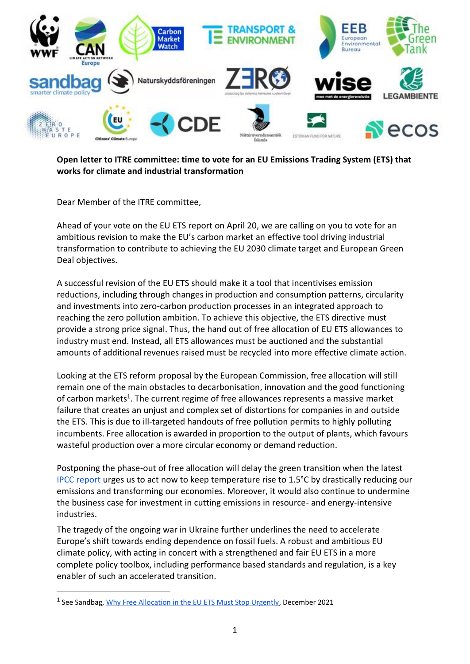

### **Open letter to ITRE committee: time to vote for an EU Emissions Trading System (ETS) that works for climate and industrial transformation**

Dear Member of the ITRE committee,

Ahead of your vote on the EU ETS report on April 20, we are calling on you to vote for an ambitious revision to make the EU's carbon market an effective tool driving industrial transformation to contribute to achieving the EU 2030 climate target and European Green Deal objectives.

A successful revision of the EU ETS should make it a tool that incentivises emission reductions, including through changes in production and consumption patterns, circularity and investments into zero-carbon production processes in an integrated approach to reaching the zero pollution ambition. To achieve this objective, the ETS directive must provide a strong price signal. Thus, the hand out of free allocation of EU ETS allowances to industry must end. Instead, all ETS allowances must be auctioned and the substantial amounts of additional revenues raised must be recycled into more effective climate action.

Looking at the ETS reform proposal by the European Commission, free allocation will still remain one of the main obstacles to decarbonisation, innovation and the good functioning of carbon markets<sup>1</sup>. The current regime of free allowances represents a massive market failure that creates an unjust and complex set of distortions for companies in and outside the ETS. This is due to ill-targeted handouts of free pollution permits to highly polluting incumbents. Free allocation is awarded in proportion to the output of plants, which favours wasteful production over a more circular economy or demand reduction.

Postponing the phase-out of free allocation will delay the green transition when the latest [IPCC report](https://www.ipcc.ch/report/ar6/wg3/) urges us to act now to keep temperature rise to 1.5°C by drastically reducing our emissions and transforming our economies. Moreover, it would also continue to undermine the business case for investment in cutting emissions in resource- and energy-intensive industries.

The tragedy of the ongoing war in Ukraine further underlines the need to accelerate Europe's shift towards ending dependence on fossil fuels. A robust and ambitious EU climate policy, with acting in concert with a strengthened and fair EU ETS in a more complete policy toolbox, including performance based standards and regulation, is a key enabler of such an accelerated transition.

-

<sup>&</sup>lt;sup>1</sup> See Sandbag, *Why Free Allocation in the EU ETS Must Stop Urgently*, December 2021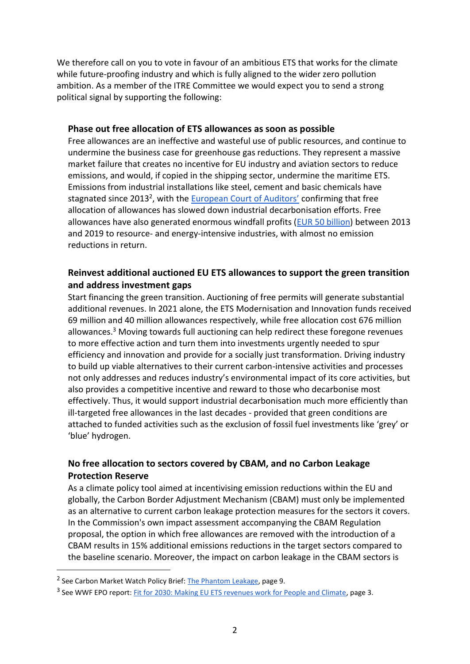We therefore call on you to vote in favour of an ambitious ETS that works for the climate while future-proofing industry and which is fully aligned to the wider zero pollution ambition. As a member of the ITRE Committee we would expect you to send a strong political signal by supporting the following:

#### **Phase out free allocation of ETS allowances as soon as possible**

Free allowances are an ineffective and wasteful use of public resources, and continue to undermine the business case for greenhouse gas reductions. They represent a massive market failure that creates no incentive for EU industry and aviation sectors to reduce emissions, and would, if copied in the shipping sector, undermine the maritime ETS. Emissions from industrial installations like steel, cement and basic chemicals have stagnated since 2013<sup>2</sup>, with the [European Court of Auditors'](https://www.eca.europa.eu/Lists/ECADocuments/SR20_18/SR_EU-ETS_EN.pdf) confirming that free allocation of allowances has slowed down industrial decarbonisation efforts. Free allowances have also generated enormous windfall profits [\(EUR 50 billion\)](https://carbonmarketwatch.org/publications/the-phantom-leakage/) between 2013 and 2019 to resource- and energy-intensive industries, with almost no emission reductions in return.

# **Reinvest additional auctioned EU ETS allowances to support the green transition and address investment gaps**

Start financing the green transition. Auctioning of free permits will generate substantial additional revenues. In 2021 alone, the ETS Modernisation and Innovation funds received 69 million and 40 million allowances respectively, while free allocation cost 676 million allowances.<sup>3</sup> Moving towards full auctioning can help redirect these foregone revenues to more effective action and turn them into investments urgently needed to spur efficiency and innovation and provide for a socially just transformation. Driving industry to build up viable alternatives to their current carbon-intensive activities and processes not only addresses and reduces industry's environmental impact of its core activities, but also provides a competitive incentive and reward to those who decarbonise most effectively. Thus, it would support industrial decarbonisation much more efficiently than ill-targeted free allowances in the last decades - provided that green conditions are attached to funded activities such as the exclusion of fossil fuel investments like 'grey' or 'blue' hydrogen.

## **No free allocation to sectors covered by CBAM, and no Carbon Leakage Protection Reserve**

As a climate policy tool aimed at incentivising emission reductions within the EU and globally, the Carbon Border Adjustment Mechanism (CBAM) must only be implemented as an alternative to current carbon leakage protection measures for the sectors it covers. In the Commission's own impact assessment accompanying the CBAM Regulation proposal, the option in which free allowances are removed with the introduction of a CBAM results in 15% additional emissions reductions in the target sectors compared to the baseline scenario. Moreover, the impact on carbon leakage in the CBAM sectors is

-

<sup>&</sup>lt;sup>2</sup> See Carbon Market Watch Policy Brief[: The Phantom Leakage,](https://carbonmarketwatch.org/wp-content/uploads/2021/06/Phantom_leakage_WEB.pdf) page 9.

<sup>&</sup>lt;sup>3</sup> See WWF EPO report[: Fit for 2030: Making EU ETS revenues work for People and Climate,](https://wwfeu.awsassets.panda.org/downloads/making_eu_ets_revenues_work_for_people_and_climate_summary_report_june_2021__2_.pdf) page 3.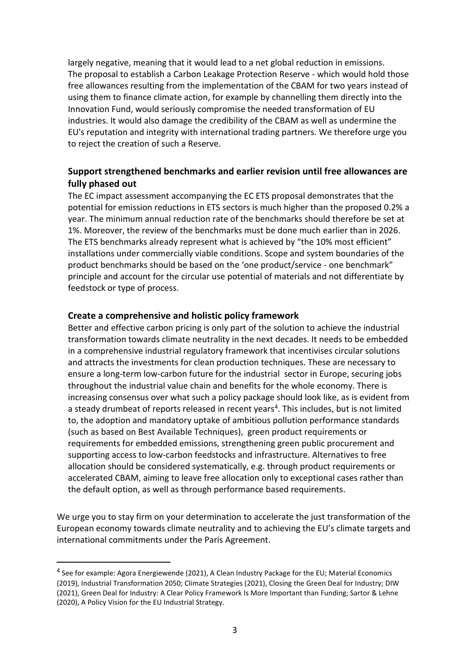largely negative, meaning that it would lead to a net global reduction in emissions. The proposal to establish a Carbon Leakage Protection Reserve - which would hold those free allowances resulting from the implementation of the CBAM for two years instead of using them to finance climate action, for example by channelling them directly into the Innovation Fund, would seriously compromise the needed transformation of EU industries. It would also damage the credibility of the CBAM as well as undermine the EU's reputation and integrity with international trading partners. We therefore urge you to reject the creation of such a Reserve.

## **Support strengthened benchmarks and earlier revision until free allowances are fully phased out**

The EC impact assessment accompanying the EC ETS proposal demonstrates that the potential for emission reductions in ETS sectors is much higher than the proposed 0.2% a year. The minimum annual reduction rate of the benchmarks should therefore be set at 1%. Moreover, the review of the benchmarks must be done much earlier than in 2026. The ETS benchmarks already represent what is achieved by "the 10% most efficient" installations under commercially viable conditions. Scope and system boundaries of the product benchmarks should be based on the 'one product/service - one benchmark" principle and account for the circular use potential of materials and not differentiate by feedstock or type of process.

### **Create a comprehensive and holistic policy framework**

-

Better and effective carbon pricing is only part of the solution to achieve the industrial transformation towards climate neutrality in the next decades. It needs to be embedded in a comprehensive industrial regulatory framework that incentivises circular solutions and attracts the investments for clean production techniques. These are necessary to ensure a long-term low-carbon future for the industrial sector in Europe, securing jobs throughout the industrial value chain and benefits for the whole economy. There is increasing consensus over what such a policy package should look like, as is evident from a steady drumbeat of reports released in recent years<sup>4</sup>. This includes, but is not limited to, the adoption and mandatory uptake of ambitious pollution performance standards (such as based on Best Available Techniques), green product requirements or requirements for embedded emissions, strengthening green public procurement and supporting access to low-carbon feedstocks and infrastructure. Alternatives to free allocation should be considered systematically, e.g. through product requirements or accelerated CBAM, aiming to leave free allocation only to exceptional cases rather than the default option, as well as through performance based requirements.

We urge you to stay firm on your determination to accelerate the just transformation of the European economy towards climate neutrality and to achieving the EU's climate targets and international commitments under the Paris Agreement.

<sup>&</sup>lt;sup>4</sup> See for example: Agora Energiewende (2021), A Clean Industry Package for the EU; Material Economics (2019), Industrial Transformation 2050; Climate Strategies (2021), Closing the Green Deal for Industry; DIW (2021), Green Deal for Industry: A Clear Policy Framework Is More Important than Funding; Sartor & Lehne (2020), A Policy Vision for the EU Industrial Strategy.